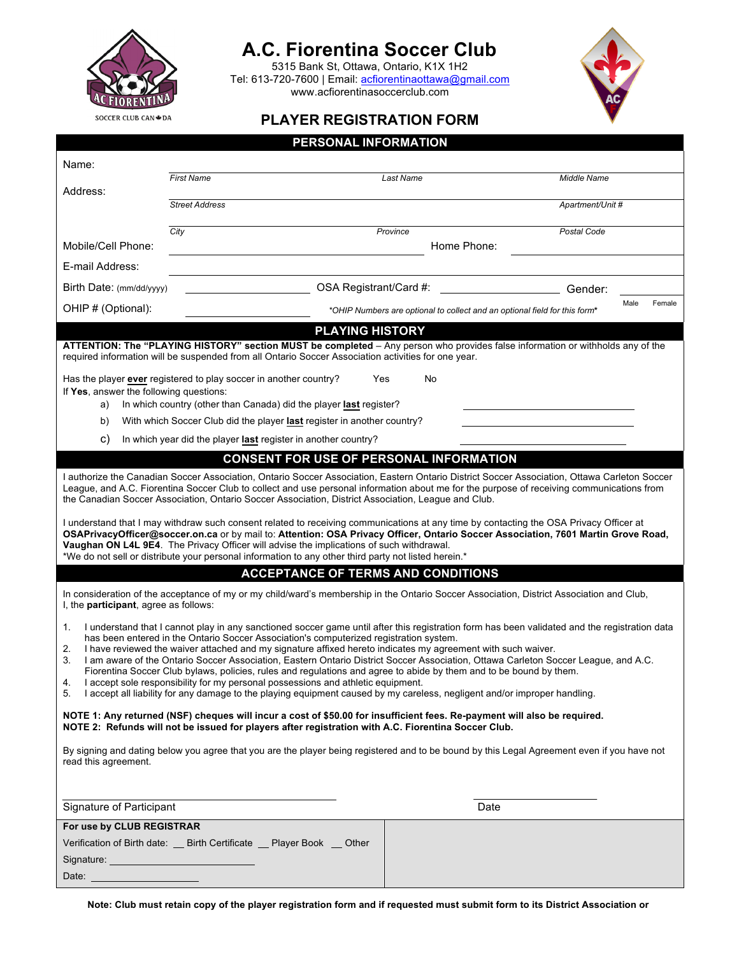

## **A.C. Fiorentina Soccer Club**

5315 Bank St, Ottawa, Ontario, K1X 1H2 Tel: 613-720-7600 | Email: acfiorentinaottawa@gmail.com www.acfiorentinasoccerclub.com



### **PLAYER REGISTRATION FORM**

|                                                                   |                       | PERSONAL INFORMATION                                                                                                                                                                                                                                                                                                                                                                                                                                                                                                                                                                                                                                                                                                                                                                                                                 |           |                                                                            |                  |                |
|-------------------------------------------------------------------|-----------------------|--------------------------------------------------------------------------------------------------------------------------------------------------------------------------------------------------------------------------------------------------------------------------------------------------------------------------------------------------------------------------------------------------------------------------------------------------------------------------------------------------------------------------------------------------------------------------------------------------------------------------------------------------------------------------------------------------------------------------------------------------------------------------------------------------------------------------------------|-----------|----------------------------------------------------------------------------|------------------|----------------|
| Name:                                                             |                       |                                                                                                                                                                                                                                                                                                                                                                                                                                                                                                                                                                                                                                                                                                                                                                                                                                      |           |                                                                            |                  |                |
| Address:                                                          | <b>First Name</b>     |                                                                                                                                                                                                                                                                                                                                                                                                                                                                                                                                                                                                                                                                                                                                                                                                                                      | Last Name |                                                                            | Middle Name      |                |
|                                                                   | <b>Street Address</b> |                                                                                                                                                                                                                                                                                                                                                                                                                                                                                                                                                                                                                                                                                                                                                                                                                                      |           |                                                                            | Apartment/Unit # |                |
|                                                                   | City                  |                                                                                                                                                                                                                                                                                                                                                                                                                                                                                                                                                                                                                                                                                                                                                                                                                                      | Province  |                                                                            | Postal Code      |                |
| Mobile/Cell Phone:                                                |                       |                                                                                                                                                                                                                                                                                                                                                                                                                                                                                                                                                                                                                                                                                                                                                                                                                                      |           | Home Phone:                                                                |                  |                |
| E-mail Address:                                                   |                       |                                                                                                                                                                                                                                                                                                                                                                                                                                                                                                                                                                                                                                                                                                                                                                                                                                      |           |                                                                            |                  |                |
| Birth Date: (mm/dd/yyyy)                                          |                       | OSA Registrant/Card #:                                                                                                                                                                                                                                                                                                                                                                                                                                                                                                                                                                                                                                                                                                                                                                                                               |           |                                                                            | Gender:          |                |
| OHIP # (Optional):                                                |                       |                                                                                                                                                                                                                                                                                                                                                                                                                                                                                                                                                                                                                                                                                                                                                                                                                                      |           | *OHIP Numbers are optional to collect and an optional field for this form* |                  | Male<br>Female |
|                                                                   |                       | <b>PLAYING HISTORY</b>                                                                                                                                                                                                                                                                                                                                                                                                                                                                                                                                                                                                                                                                                                                                                                                                               |           |                                                                            |                  |                |
|                                                                   |                       | ATTENTION: The "PLAYING HISTORY" section MUST be completed - Any person who provides false information or withholds any of the<br>required information will be suspended from all Ontario Soccer Association activities for one year.                                                                                                                                                                                                                                                                                                                                                                                                                                                                                                                                                                                                |           |                                                                            |                  |                |
| Has the player ever registered to play soccer in another country? |                       | Yes                                                                                                                                                                                                                                                                                                                                                                                                                                                                                                                                                                                                                                                                                                                                                                                                                                  | No        |                                                                            |                  |                |
| If Yes, answer the following questions:<br>a)                     |                       | In which country (other than Canada) did the player last register?                                                                                                                                                                                                                                                                                                                                                                                                                                                                                                                                                                                                                                                                                                                                                                   |           |                                                                            |                  |                |
| b)                                                                |                       | With which Soccer Club did the player last register in another country?                                                                                                                                                                                                                                                                                                                                                                                                                                                                                                                                                                                                                                                                                                                                                              |           |                                                                            |                  |                |
| C)                                                                |                       | In which year did the player last register in another country?                                                                                                                                                                                                                                                                                                                                                                                                                                                                                                                                                                                                                                                                                                                                                                       |           |                                                                            |                  |                |
|                                                                   |                       | <b>CONSENT FOR USE OF PERSONAL INFORMATION</b>                                                                                                                                                                                                                                                                                                                                                                                                                                                                                                                                                                                                                                                                                                                                                                                       |           |                                                                            |                  |                |
|                                                                   |                       | I authorize the Canadian Soccer Association, Ontario Soccer Association, Eastern Ontario District Soccer Association, Ottawa Carleton Soccer<br>League, and A.C. Fiorentina Soccer Club to collect and use personal information about me for the purpose of receiving communications from<br>the Canadian Soccer Association, Ontario Soccer Association, District Association, League and Club.                                                                                                                                                                                                                                                                                                                                                                                                                                     |           |                                                                            |                  |                |
|                                                                   |                       | I understand that I may withdraw such consent related to receiving communications at any time by contacting the OSA Privacy Officer at<br>OSAPrivacyOfficer@soccer.on.ca or by mail to: Attention: OSA Privacy Officer, Ontario Soccer Association, 7601 Martin Grove Road,<br>Vaughan ON L4L 9E4. The Privacy Officer will advise the implications of such withdrawal.<br>*We do not sell or distribute your personal information to any other third party not listed herein.*                                                                                                                                                                                                                                                                                                                                                      |           |                                                                            |                  |                |
|                                                                   |                       | <b>ACCEPTANCE OF TERMS AND CONDITIONS</b>                                                                                                                                                                                                                                                                                                                                                                                                                                                                                                                                                                                                                                                                                                                                                                                            |           |                                                                            |                  |                |
| I, the participant, agree as follows:                             |                       | In consideration of the acceptance of my or my child/ward's membership in the Ontario Soccer Association, District Association and Club,                                                                                                                                                                                                                                                                                                                                                                                                                                                                                                                                                                                                                                                                                             |           |                                                                            |                  |                |
| 1.<br>2.<br>3.<br>4.<br>5.                                        |                       | I understand that I cannot play in any sanctioned soccer game until after this registration form has been validated and the registration data<br>has been entered in the Ontario Soccer Association's computerized registration system.<br>I have reviewed the waiver attached and my signature affixed hereto indicates my agreement with such waiver.<br>I am aware of the Ontario Soccer Association, Eastern Ontario District Soccer Association, Ottawa Carleton Soccer League, and A.C.<br>Fiorentina Soccer Club bylaws, policies, rules and regulations and agree to abide by them and to be bound by them.<br>I accept sole responsibility for my personal possessions and athletic equipment.<br>I accept all liability for any damage to the playing equipment caused by my careless, negligent and/or improper handling. |           |                                                                            |                  |                |
|                                                                   |                       | NOTE 1: Any returned (NSF) cheques will incur a cost of \$50.00 for insufficient fees. Re-payment will also be required.<br>NOTE 2: Refunds will not be issued for players after registration with A.C. Fiorentina Soccer Club.                                                                                                                                                                                                                                                                                                                                                                                                                                                                                                                                                                                                      |           |                                                                            |                  |                |
| read this agreement.                                              |                       | By signing and dating below you agree that you are the player being registered and to be bound by this Legal Agreement even if you have not                                                                                                                                                                                                                                                                                                                                                                                                                                                                                                                                                                                                                                                                                          |           |                                                                            |                  |                |
| Signature of Participant                                          |                       |                                                                                                                                                                                                                                                                                                                                                                                                                                                                                                                                                                                                                                                                                                                                                                                                                                      |           | Date                                                                       |                  |                |
| For use by CLUB REGISTRAR                                         |                       |                                                                                                                                                                                                                                                                                                                                                                                                                                                                                                                                                                                                                                                                                                                                                                                                                                      |           |                                                                            |                  |                |
|                                                                   |                       | Verification of Birth date: _ Birth Certificate _ Player Book _ Other                                                                                                                                                                                                                                                                                                                                                                                                                                                                                                                                                                                                                                                                                                                                                                |           |                                                                            |                  |                |
| Signature: ________________________________                       |                       |                                                                                                                                                                                                                                                                                                                                                                                                                                                                                                                                                                                                                                                                                                                                                                                                                                      |           |                                                                            |                  |                |
| Date: <u>__________________</u>                                   |                       |                                                                                                                                                                                                                                                                                                                                                                                                                                                                                                                                                                                                                                                                                                                                                                                                                                      |           |                                                                            |                  |                |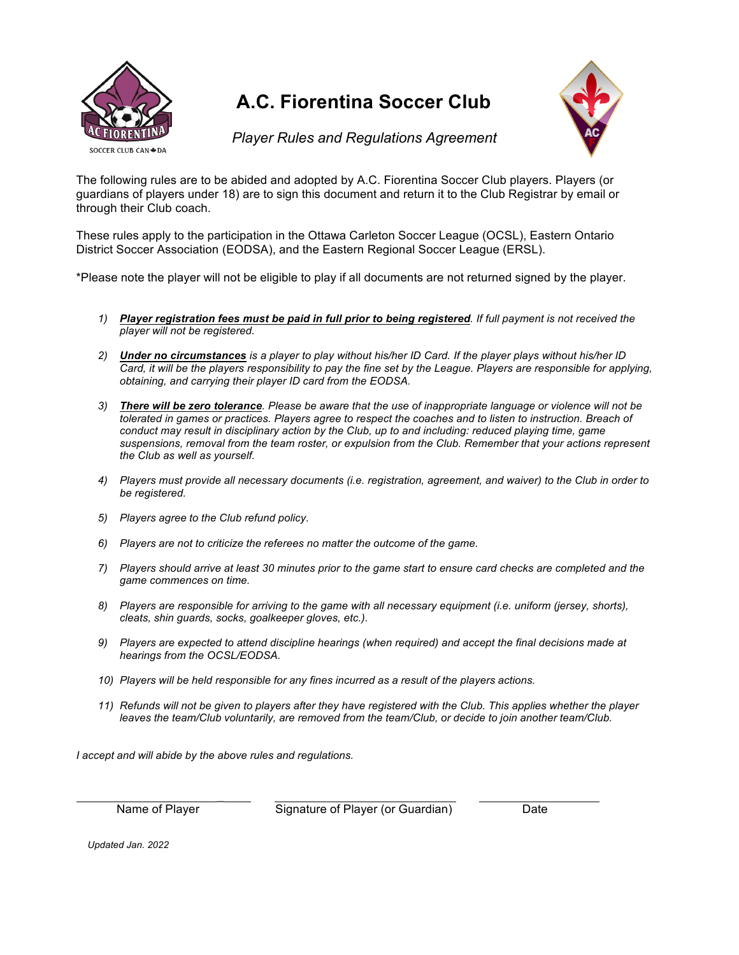

# **A.C. Fiorentina Soccer Club**



*Player Rules and Regulations Agreement*

The following rules are to be abided and adopted by A.C. Fiorentina Soccer Club players. Players (or guardians of players under 18) are to sign this document and return it to the Club Registrar by email or through their Club coach.

These rules apply to the participation in the Ottawa Carleton Soccer League (OCSL), Eastern Ontario District Soccer Association (EODSA), and the Eastern Regional Soccer League (ERSL).

\*Please note the player will not be eligible to play if all documents are not returned signed by the player.

- *1) Player registration fees must be paid in full prior to being registered. If full payment is not received the player will not be registered.*
- *2) Under no circumstances is a player to play without his/her ID Card. If the player plays without his/her ID Card, it will be the players responsibility to pay the fine set by the League. Players are responsible for applying, obtaining, and carrying their player ID card from the EODSA.*
- *3) There will be zero tolerance. Please be aware that the use of inappropriate language or violence will not be tolerated in games or practices. Players agree to respect the coaches and to listen to instruction. Breach of conduct may result in disciplinary action by the Club, up to and including: reduced playing time, game suspensions, removal from the team roster, or expulsion from the Club. Remember that your actions represent the Club as well as yourself.*
- *4) Players must provide all necessary documents (i.e. registration, agreement, and waiver) to the Club in order to be registered.*
- *5) Players agree to the Club refund policy.*
- *6) Players are not to criticize the referees no matter the outcome of the game.*
- *7) Players should arrive at least 30 minutes prior to the game start to ensure card checks are completed and the game commences on time.*
- *8) Players are responsible for arriving to the game with all necessary equipment (i.e. uniform (jersey, shorts), cleats, shin guards, socks, goalkeeper gloves, etc.).*
- *9) Players are expected to attend discipline hearings (when required) and accept the final decisions made at hearings from the OCSL/EODSA.*
- *10) Players will be held responsible for any fines incurred as a result of the players actions.*
- *11) Refunds will not be given to players after they have registered with the Club. This applies whether the player leaves the team/Club voluntarily, are removed from the team/Club, or decide to join another team/Club.*

*I accept and will abide by the above rules and regulations.*

 $\overline{\phantom{a}}$ 

Name of Player Signature of Player (or Guardian) Date

*Updated Jan. 2022*